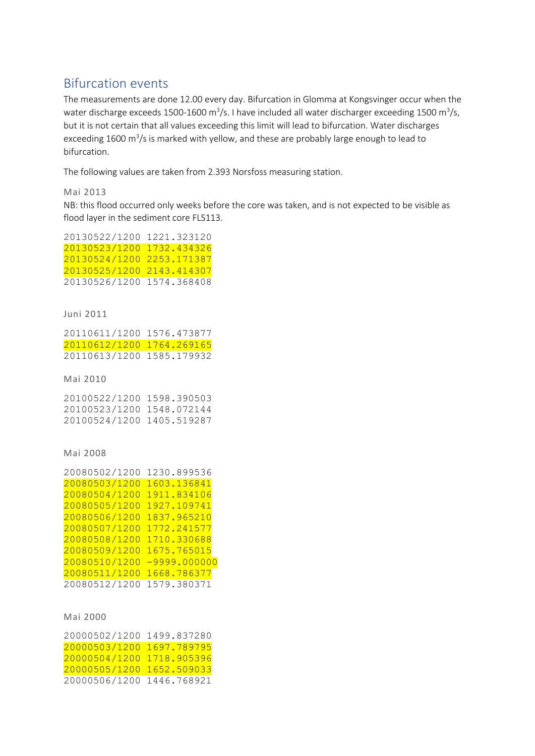# Bifurcation events

The measurements are done 12.00 every day. Bifurcation in Glomma at Kongsvinger occur when the water discharge exceeds 1500-1600 m<sup>3</sup>/s. I have included all water discharger exceeding 1500 m<sup>3</sup>/s, but it is not certain that all values exceeding this limit will lead to bifurcation. Water discharges exceeding 1600 m<sup>3</sup>/s is marked with yellow, and these are probably large enough to lead to bifurcation.

The following values are taken from 2.393 Norsfoss measuring station.

# Mai 2013

NB: this flood occurred only weeks before the core was taken, and is not expected to be visible as flood layer in the sediment core FLS113.

| 20130522/1200 1221.323120 |  |
|---------------------------|--|
| 20130523/1200 1732.434326 |  |
| 20130524/1200 2253.171387 |  |
| 20130525/1200 2143.414307 |  |
| 20130526/1200 1574.368408 |  |

# Juni 2011

| 20110611/1200 1576.473877 |  |
|---------------------------|--|
| 20110612/1200 1764.269165 |  |
| 20110613/1200 1585.179932 |  |

Mai 2010

20100522/1200 1598.390503 20100523/1200 1548.072144 20100524/1200 1405.519287

Mai 2008

| 20080502/1200 | 1230.899536    |
|---------------|----------------|
| 20080503/1200 | 1603.136841    |
| 20080504/1200 | 1911.834106    |
| 20080505/1200 | 1927.109741    |
| 20080506/1200 | 1837.965210    |
| 20080507/1200 | 1772.241577    |
| 20080508/1200 | 1710.330688    |
| 20080509/1200 | 1675.765015    |
| 20080510/1200 | $-9999.000000$ |
| 20080511/1200 | 1668.786377    |
| 20080512/1200 | 1579.380371    |

# Mai 2000

20000502/1200 1499.837280 20000503/1200 1697.789795 20000504/1200 1718.905396 20000505/1200 1652.509033 20000506/1200 1446.768921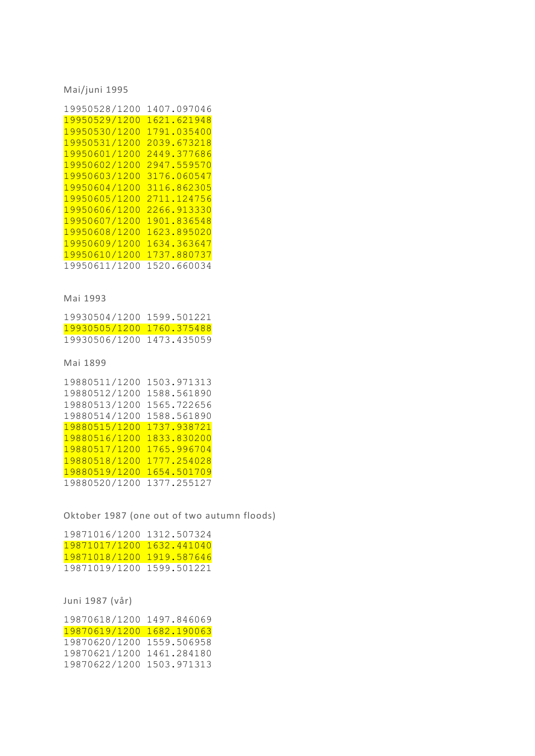Mai/juni 1995

| 19950528/1200 | 1407.097046 |
|---------------|-------------|
| 19950529/1200 | 1621.621948 |
| 19950530/1200 | 1791.035400 |
| 19950531/1200 | 2039.673218 |
| 19950601/1200 | 2449.377686 |
| 19950602/1200 | 2947.559570 |
| 19950603/1200 | 3176.060547 |
| 19950604/1200 | 3116.862305 |
| 19950605/1200 | 2711.124756 |
| 19950606/1200 | 2266.913330 |
| 19950607/1200 | 1901.836548 |
| 19950608/1200 | 1623.895020 |
| 19950609/1200 | 1634.363647 |
| 19950610/1200 | 1737.880737 |
| 19950611/1200 | 1520.660034 |

## Mai 1993

19930504/1200 1599.501221 19930505/1200 1760.375488 19930506/1200 1473.435059

Mai 1899

| 19880511/1200 | 1503.971313 |
|---------------|-------------|
| 19880512/1200 | 1588.561890 |
| 19880513/1200 | 1565.722656 |
| 19880514/1200 | 1588.561890 |
| 19880515/1200 | 1737.938721 |
| 19880516/1200 | 1833.830200 |
| 19880517/1200 | 1765.996704 |
| 19880518/1200 | 1777.254028 |
| 19880519/1200 | 1654.501709 |
| 19880520/1200 | 1377.255127 |

Oktober 1987 (one out of two autumn floods)

| 19871016/1200 1312.507324 |  |
|---------------------------|--|
| 19871017/1200 1632.441040 |  |
| 19871018/1200 1919.587646 |  |
| 19871019/1200 1599.501221 |  |

Juni 1987 (vår)

| 19870618/1200 1497.846069 |
|---------------------------|
| 19870619/1200 1682.190063 |
| 19870620/1200 1559.506958 |
| 19870621/1200 1461.284180 |
| 19870622/1200 1503.971313 |
|                           |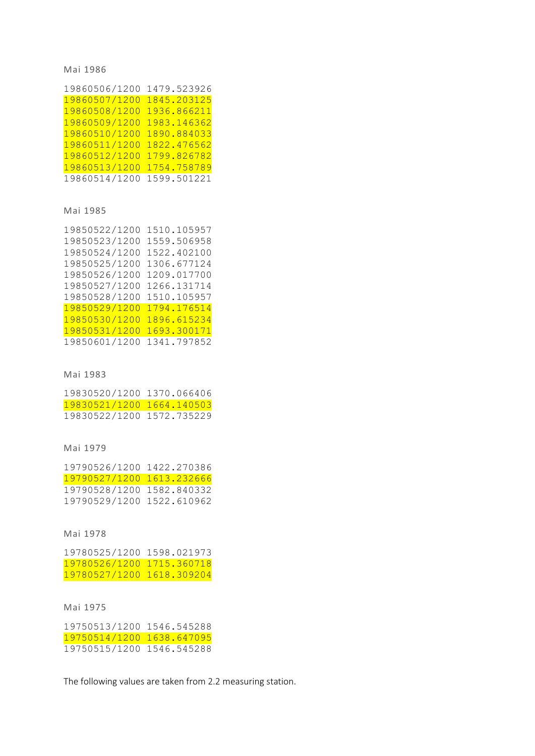## Mai 1986

| 19860506/1200 1479.523926 |             |
|---------------------------|-------------|
| 19860507/1200             | 1845.203125 |
| 19860508/1200             | 1936.866211 |
| 19860509/1200             | 1983.146362 |
| 19860510/1200             | 1890.884033 |
| 19860511/1200             | 1822.476562 |
| 19860512/1200             | 1799.826782 |
| 19860513/1200             | 1754.758789 |
| 19860514/1200             | 1599.501221 |

## Mai 1985

| 19850522/1200 | 1510.105957 |
|---------------|-------------|
| 19850523/1200 | 1559.506958 |
| 19850524/1200 | 1522.402100 |
| 19850525/1200 | 1306.677124 |
| 19850526/1200 | 1209.017700 |
| 19850527/1200 | 1266.131714 |
| 19850528/1200 | 1510.105957 |
| 19850529/1200 | 1794.176514 |
| 19850530/1200 | 1896.615234 |
| 19850531/1200 | 1693.300171 |
| 19850601/1200 | 1341.797852 |

#### Mai 1983

19830520/1200 1370.066406 19830521/1200 1664.140503 19830522/1200 1572.735229

## Mai 1979

19790526/1200 1422.270386 19790527/1200 1613.232666 19790528/1200 1582.840332 19790529/1200 1522.610962

Mai 1978

19780525/1200 1598.021973 19780526/1200 1715.360718 19780527/1200 1618.309204

Mai 1975

19750513/1200 1546.545288 19750514/1200 1638.647095 19750515/1200 1546.545288

The following values are taken from 2.2 measuring station.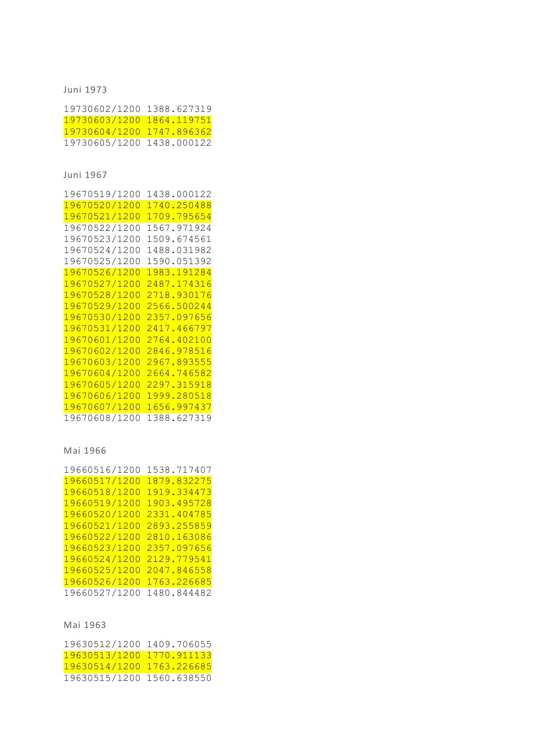Juni 1973

19730602/1200 1388.627319 19730603/1200 1864.119751 19730604/1200 1747.896362 19730605/1200 1438.000122

Juni 1967

| 19670519/1200 | 1438.000122 |
|---------------|-------------|
| 19670520/1200 | 1740.250488 |
| 19670521/1200 | 1709.795654 |
| 19670522/1200 | 1567.971924 |
| 19670523/1200 | 1509.674561 |
| 19670524/1200 | 1488.031982 |
| 19670525/1200 | 1590.051392 |
| 19670526/1200 | 1983.191284 |
| 19670527/1200 | 2487.174316 |
| 19670528/1200 | 2718.930176 |
| 19670529/1200 | 2566.500244 |
| 19670530/1200 | 2357.097656 |
| 19670531/1200 | 2417.466797 |
| 19670601/1200 | 2764.402100 |
| 19670602/1200 | 2846.978516 |
| 19670603/1200 | 2967.893555 |
| 19670604/1200 | 2664.746582 |
| 19670605/1200 | 2297.315918 |
| 19670606/1200 | 1999.280518 |
| 19670607/1200 | 1656.997437 |
| 19670608/1200 | 1388.627319 |

Mai 1966

| 19660516/1200 | 1538.717407 |
|---------------|-------------|
| 19660517/1200 | 1879.832275 |
| 19660518/1200 | 1919.334473 |
| 19660519/1200 | 1903.495728 |
| 19660520/1200 | 2331.404785 |
| 19660521/1200 | 2893.255859 |
| 19660522/1200 | 2810.163086 |
| 19660523/1200 | 2357.097656 |
| 19660524/1200 | 2129.779541 |
| 19660525/1200 | 2047.846558 |
| 19660526/1200 | 1763.226685 |
| 19660527/1200 | 1480.844482 |

# Mai 1963

19630512/1200 1409.706055 19630513/1200 1770.911133 19630514/1200 1763.226685 19630515/1200 1560.638550